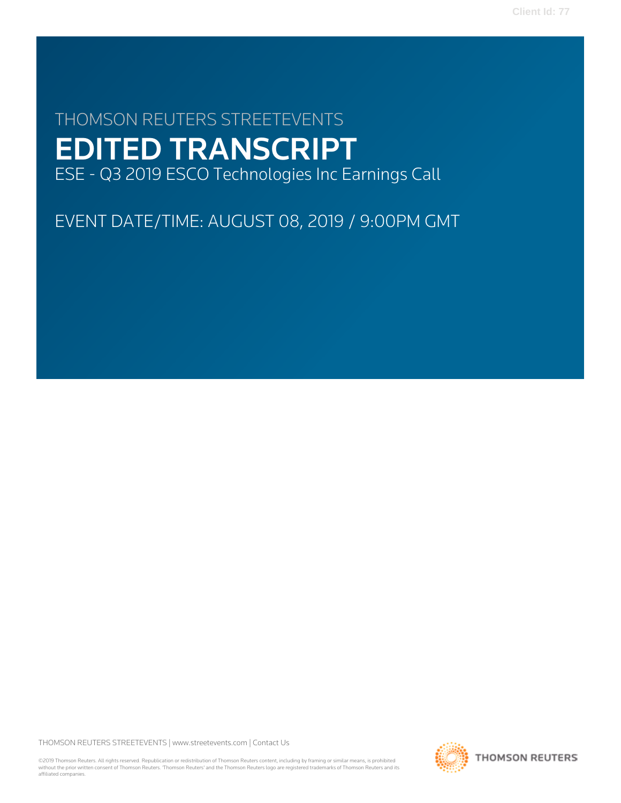# THOMSON REUTERS STREETEVENTS EDITED TRANSCRIPT ESE - Q3 2019 ESCO Technologies Inc Earnings Call

EVENT DATE/TIME: AUGUST 08, 2019 / 9:00PM GMT

THOMSON REUTERS STREETEVENTS | [www.streetevents.com](http://www.streetevents.com) | [Contact Us](http://www010.streetevents.com/contact.asp)

©2019 Thomson Reuters. All rights reserved. Republication or redistribution of Thomson Reuters content, including by framing or similar means, is prohibited without the prior written consent of Thomson Reuters. 'Thomson Reuters' and the Thomson Reuters logo are registered trademarks of Thomson Reuters and its affiliated companies.

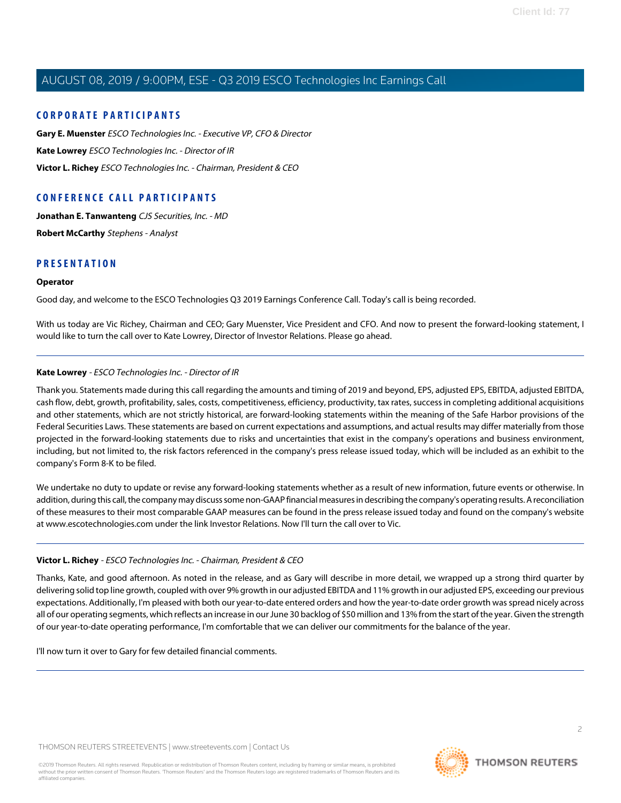### **CORPORATE PARTICIPANTS**

**[Gary E. Muenster](#page-2-0)** ESCO Technologies Inc. - Executive VP, CFO & Director **[Kate Lowrey](#page-1-0)** ESCO Technologies Inc. - Director of IR **[Victor L. Richey](#page-1-1)** ESCO Technologies Inc. - Chairman, President & CEO

### **CONFERENCE CALL PARTICIPANTS**

**[Jonathan E. Tanwanteng](#page-3-0)** CJS Securities, Inc. - MD **[Robert McCarthy](#page-5-0)** Stephens - Analyst

### **PRESENTATION**

### **Operator**

Good day, and welcome to the ESCO Technologies Q3 2019 Earnings Conference Call. Today's call is being recorded.

<span id="page-1-0"></span>With us today are Vic Richey, Chairman and CEO; Gary Muenster, Vice President and CFO. And now to present the forward-looking statement, I would like to turn the call over to Kate Lowrey, Director of Investor Relations. Please go ahead.

### **Kate Lowrey** - ESCO Technologies Inc. - Director of IR

Thank you. Statements made during this call regarding the amounts and timing of 2019 and beyond, EPS, adjusted EPS, EBITDA, adjusted EBITDA, cash flow, debt, growth, profitability, sales, costs, competitiveness, efficiency, productivity, tax rates, success in completing additional acquisitions and other statements, which are not strictly historical, are forward-looking statements within the meaning of the Safe Harbor provisions of the Federal Securities Laws. These statements are based on current expectations and assumptions, and actual results may differ materially from those projected in the forward-looking statements due to risks and uncertainties that exist in the company's operations and business environment, including, but not limited to, the risk factors referenced in the company's press release issued today, which will be included as an exhibit to the company's Form 8-K to be filed.

<span id="page-1-1"></span>We undertake no duty to update or revise any forward-looking statements whether as a result of new information, future events or otherwise. In addition, during this call, the company may discuss some non-GAAP financial measures in describing the company's operating results. A reconciliation of these measures to their most comparable GAAP measures can be found in the press release issued today and found on the company's website at www.escotechnologies.com under the link Investor Relations. Now I'll turn the call over to Vic.

### **Victor L. Richey** - ESCO Technologies Inc. - Chairman, President & CEO

Thanks, Kate, and good afternoon. As noted in the release, and as Gary will describe in more detail, we wrapped up a strong third quarter by delivering solid top line growth, coupled with over 9% growth in our adjusted EBITDA and 11% growth in our adjusted EPS, exceeding our previous expectations. Additionally, I'm pleased with both our year-to-date entered orders and how the year-to-date order growth was spread nicely across all of our operating segments, which reflects an increase in our June 30 backlog of \$50 million and 13% from the start of the year. Given the strength of our year-to-date operating performance, I'm comfortable that we can deliver our commitments for the balance of the year.

I'll now turn it over to Gary for few detailed financial comments.

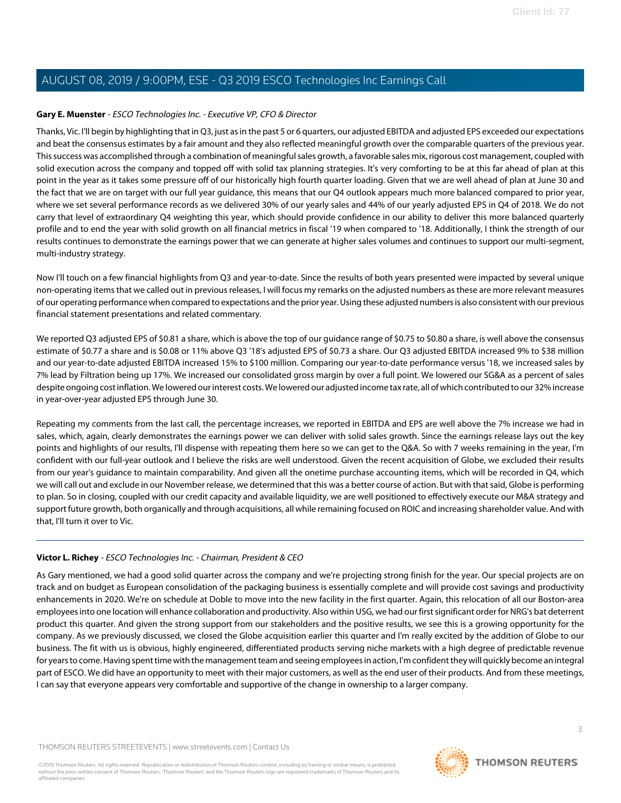### <span id="page-2-0"></span>**Gary E. Muenster** - ESCO Technologies Inc. - Executive VP, CFO & Director

Thanks, Vic. I'll begin by highlighting that in Q3, just as in the past 5 or 6 quarters, our adjusted EBITDA and adjusted EPS exceeded our expectations and beat the consensus estimates by a fair amount and they also reflected meaningful growth over the comparable quarters of the previous year. This success was accomplished through a combination of meaningful sales growth, a favorable sales mix, rigorous cost management, coupled with solid execution across the company and topped off with solid tax planning strategies. It's very comforting to be at this far ahead of plan at this point in the year as it takes some pressure off of our historically high fourth quarter loading. Given that we are well ahead of plan at June 30 and the fact that we are on target with our full year guidance, this means that our Q4 outlook appears much more balanced compared to prior year, where we set several performance records as we delivered 30% of our yearly sales and 44% of our yearly adjusted EPS in Q4 of 2018. We do not carry that level of extraordinary Q4 weighting this year, which should provide confidence in our ability to deliver this more balanced quarterly profile and to end the year with solid growth on all financial metrics in fiscal '19 when compared to '18. Additionally, I think the strength of our results continues to demonstrate the earnings power that we can generate at higher sales volumes and continues to support our multi-segment, multi-industry strategy.

Now I'll touch on a few financial highlights from Q3 and year-to-date. Since the results of both years presented were impacted by several unique non-operating items that we called out in previous releases, I will focus my remarks on the adjusted numbers as these are more relevant measures of our operating performance when compared to expectations and the prior year. Using these adjusted numbers is also consistent with our previous financial statement presentations and related commentary.

We reported Q3 adjusted EPS of \$0.81 a share, which is above the top of our guidance range of \$0.75 to \$0.80 a share, is well above the consensus estimate of \$0.77 a share and is \$0.08 or 11% above Q3 '18's adjusted EPS of \$0.73 a share. Our Q3 adjusted EBITDA increased 9% to \$38 million and our year-to-date adjusted EBITDA increased 15% to \$100 million. Comparing our year-to-date performance versus '18, we increased sales by 7% lead by Filtration being up 17%. We increased our consolidated gross margin by over a full point. We lowered our SG&A as a percent of sales despite ongoing cost inflation. We lowered our interest costs. We lowered our adjusted income tax rate, all of which contributed to our 32% increase in year-over-year adjusted EPS through June 30.

Repeating my comments from the last call, the percentage increases, we reported in EBITDA and EPS are well above the 7% increase we had in sales, which, again, clearly demonstrates the earnings power we can deliver with solid sales growth. Since the earnings release lays out the key points and highlights of our results, I'll dispense with repeating them here so we can get to the Q&A. So with 7 weeks remaining in the year, I'm confident with our full-year outlook and I believe the risks are well understood. Given the recent acquisition of Globe, we excluded their results from our year's guidance to maintain comparability. And given all the onetime purchase accounting items, which will be recorded in Q4, which we will call out and exclude in our November release, we determined that this was a better course of action. But with that said, Globe is performing to plan. So in closing, coupled with our credit capacity and available liquidity, we are well positioned to effectively execute our M&A strategy and support future growth, both organically and through acquisitions, all while remaining focused on ROIC and increasing shareholder value. And with that, I'll turn it over to Vic.

### **Victor L. Richey** - ESCO Technologies Inc. - Chairman, President & CEO

As Gary mentioned, we had a good solid quarter across the company and we're projecting strong finish for the year. Our special projects are on track and on budget as European consolidation of the packaging business is essentially complete and will provide cost savings and productivity enhancements in 2020. We're on schedule at Doble to move into the new facility in the first quarter. Again, this relocation of all our Boston-area employees into one location will enhance collaboration and productivity. Also within USG, we had our first significant order for NRG's bat deterrent product this quarter. And given the strong support from our stakeholders and the positive results, we see this is a growing opportunity for the company. As we previously discussed, we closed the Globe acquisition earlier this quarter and I'm really excited by the addition of Globe to our business. The fit with us is obvious, highly engineered, differentiated products serving niche markets with a high degree of predictable revenue for years to come. Having spent time with the management team and seeing employees in action, I'm confident they will quickly become an integral part of ESCO. We did have an opportunity to meet with their major customers, as well as the end user of their products. And from these meetings, I can say that everyone appears very comfortable and supportive of the change in ownership to a larger company.

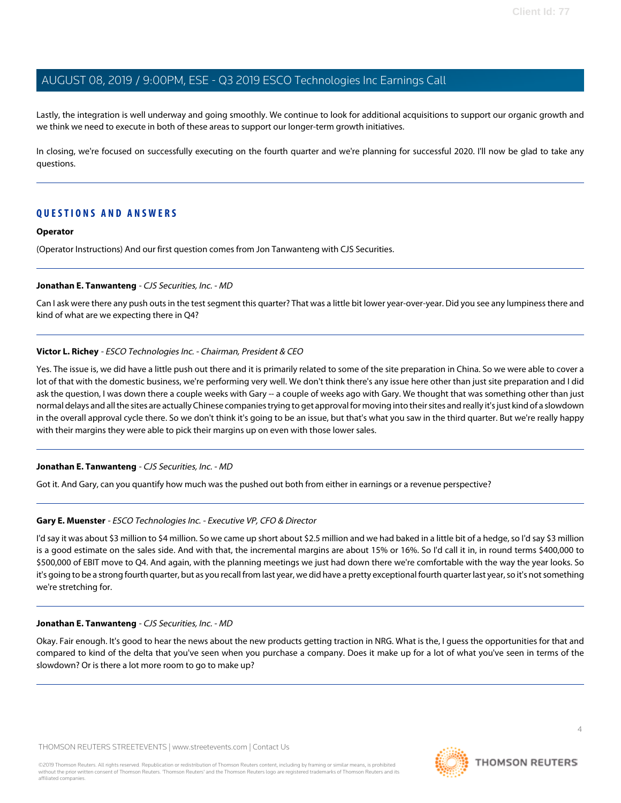Lastly, the integration is well underway and going smoothly. We continue to look for additional acquisitions to support our organic growth and we think we need to execute in both of these areas to support our longer-term growth initiatives.

In closing, we're focused on successfully executing on the fourth quarter and we're planning for successful 2020. I'll now be glad to take any questions.

### **QUESTIONS AND ANSWERS**

#### **Operator**

<span id="page-3-0"></span>(Operator Instructions) And our first question comes from Jon Tanwanteng with CJS Securities.

#### **Jonathan E. Tanwanteng** - CJS Securities, Inc. - MD

Can I ask were there any push outs in the test segment this quarter? That was a little bit lower year-over-year. Did you see any lumpiness there and kind of what are we expecting there in Q4?

### **Victor L. Richey** - ESCO Technologies Inc. - Chairman, President & CEO

Yes. The issue is, we did have a little push out there and it is primarily related to some of the site preparation in China. So we were able to cover a lot of that with the domestic business, we're performing very well. We don't think there's any issue here other than just site preparation and I did ask the question, I was down there a couple weeks with Gary -- a couple of weeks ago with Gary. We thought that was something other than just normal delays and all the sites are actually Chinese companies trying to get approval for moving into their sites and really it's just kind of a slowdown in the overall approval cycle there. So we don't think it's going to be an issue, but that's what you saw in the third quarter. But we're really happy with their margins they were able to pick their margins up on even with those lower sales.

### **Jonathan E. Tanwanteng** - CJS Securities, Inc. - MD

Got it. And Gary, can you quantify how much was the pushed out both from either in earnings or a revenue perspective?

### **Gary E. Muenster** - ESCO Technologies Inc. - Executive VP, CFO & Director

I'd say it was about \$3 million to \$4 million. So we came up short about \$2.5 million and we had baked in a little bit of a hedge, so I'd say \$3 million is a good estimate on the sales side. And with that, the incremental margins are about 15% or 16%. So I'd call it in, in round terms \$400,000 to \$500,000 of EBIT move to Q4. And again, with the planning meetings we just had down there we're comfortable with the way the year looks. So it's going to be a strong fourth quarter, but as you recall from last year, we did have a pretty exceptional fourth quarter last year, so it's not something we're stretching for.

#### **Jonathan E. Tanwanteng** - CJS Securities, Inc. - MD

Okay. Fair enough. It's good to hear the news about the new products getting traction in NRG. What is the, I guess the opportunities for that and compared to kind of the delta that you've seen when you purchase a company. Does it make up for a lot of what you've seen in terms of the slowdown? Or is there a lot more room to go to make up?

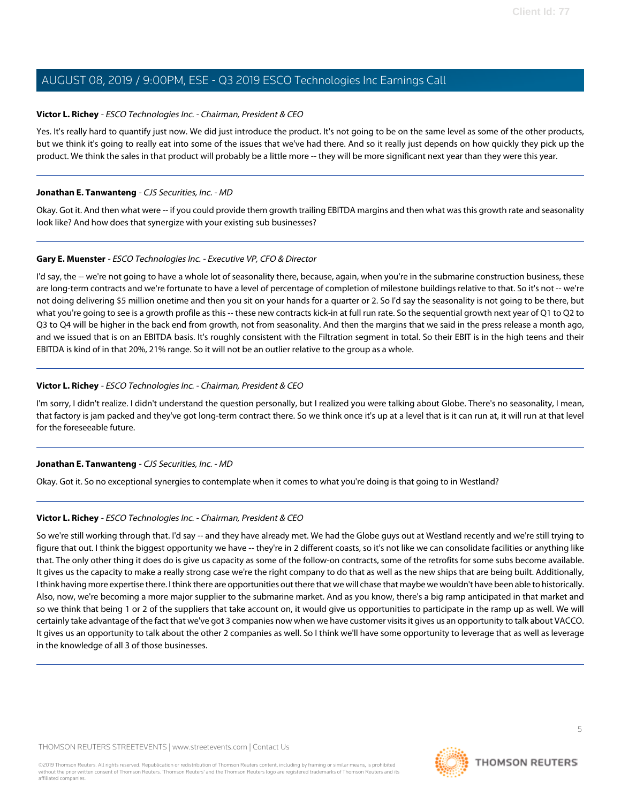### **Victor L. Richey** - ESCO Technologies Inc. - Chairman, President & CEO

Yes. It's really hard to quantify just now. We did just introduce the product. It's not going to be on the same level as some of the other products, but we think it's going to really eat into some of the issues that we've had there. And so it really just depends on how quickly they pick up the product. We think the sales in that product will probably be a little more -- they will be more significant next year than they were this year.

### **Jonathan E. Tanwanteng** - CJS Securities, Inc. - MD

Okay. Got it. And then what were -- if you could provide them growth trailing EBITDA margins and then what was this growth rate and seasonality look like? And how does that synergize with your existing sub businesses?

### **Gary E. Muenster** - ESCO Technologies Inc. - Executive VP, CFO & Director

I'd say, the -- we're not going to have a whole lot of seasonality there, because, again, when you're in the submarine construction business, these are long-term contracts and we're fortunate to have a level of percentage of completion of milestone buildings relative to that. So it's not -- we're not doing delivering \$5 million onetime and then you sit on your hands for a quarter or 2. So I'd say the seasonality is not going to be there, but what you're going to see is a growth profile as this -- these new contracts kick-in at full run rate. So the sequential growth next year of Q1 to Q2 to Q3 to Q4 will be higher in the back end from growth, not from seasonality. And then the margins that we said in the press release a month ago, and we issued that is on an EBITDA basis. It's roughly consistent with the Filtration segment in total. So their EBIT is in the high teens and their EBITDA is kind of in that 20%, 21% range. So it will not be an outlier relative to the group as a whole.

### **Victor L. Richey** - ESCO Technologies Inc. - Chairman, President & CEO

I'm sorry, I didn't realize. I didn't understand the question personally, but I realized you were talking about Globe. There's no seasonality, I mean, that factory is jam packed and they've got long-term contract there. So we think once it's up at a level that is it can run at, it will run at that level for the foreseeable future.

### **Jonathan E. Tanwanteng** - CJS Securities, Inc. - MD

Okay. Got it. So no exceptional synergies to contemplate when it comes to what you're doing is that going to in Westland?

### **Victor L. Richey** - ESCO Technologies Inc. - Chairman, President & CEO

So we're still working through that. I'd say -- and they have already met. We had the Globe guys out at Westland recently and we're still trying to figure that out. I think the biggest opportunity we have -- they're in 2 different coasts, so it's not like we can consolidate facilities or anything like that. The only other thing it does do is give us capacity as some of the follow-on contracts, some of the retrofits for some subs become available. It gives us the capacity to make a really strong case we're the right company to do that as well as the new ships that are being built. Additionally, I think having more expertise there. I think there are opportunities out there that we will chase that maybe we wouldn't have been able to historically. Also, now, we're becoming a more major supplier to the submarine market. And as you know, there's a big ramp anticipated in that market and so we think that being 1 or 2 of the suppliers that take account on, it would give us opportunities to participate in the ramp up as well. We will certainly take advantage of the fact that we've got 3 companies now when we have customer visits it gives us an opportunity to talk about VACCO. It gives us an opportunity to talk about the other 2 companies as well. So I think we'll have some opportunity to leverage that as well as leverage in the knowledge of all 3 of those businesses.

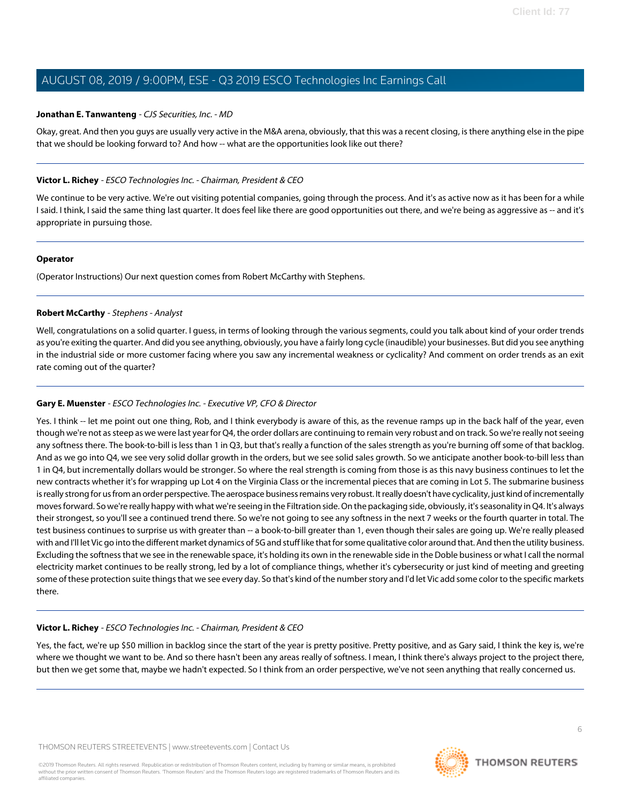### **Jonathan E. Tanwanteng** - CJS Securities, Inc. - MD

Okay, great. And then you guys are usually very active in the M&A arena, obviously, that this was a recent closing, is there anything else in the pipe that we should be looking forward to? And how -- what are the opportunities look like out there?

### **Victor L. Richey** - ESCO Technologies Inc. - Chairman, President & CEO

We continue to be very active. We're out visiting potential companies, going through the process. And it's as active now as it has been for a while I said. I think, I said the same thing last quarter. It does feel like there are good opportunities out there, and we're being as aggressive as -- and it's appropriate in pursuing those.

### **Operator**

<span id="page-5-0"></span>(Operator Instructions) Our next question comes from Robert McCarthy with Stephens.

### **Robert McCarthy** - Stephens - Analyst

Well, congratulations on a solid quarter. I guess, in terms of looking through the various segments, could you talk about kind of your order trends as you're exiting the quarter. And did you see anything, obviously, you have a fairly long cycle (inaudible) your businesses. But did you see anything in the industrial side or more customer facing where you saw any incremental weakness or cyclicality? And comment on order trends as an exit rate coming out of the quarter?

### **Gary E. Muenster** - ESCO Technologies Inc. - Executive VP, CFO & Director

Yes. I think -- let me point out one thing, Rob, and I think everybody is aware of this, as the revenue ramps up in the back half of the year, even though we're not as steep as we were last year for Q4, the order dollars are continuing to remain very robust and on track. So we're really not seeing any softness there. The book-to-bill is less than 1 in Q3, but that's really a function of the sales strength as you're burning off some of that backlog. And as we go into Q4, we see very solid dollar growth in the orders, but we see solid sales growth. So we anticipate another book-to-bill less than 1 in Q4, but incrementally dollars would be stronger. So where the real strength is coming from those is as this navy business continues to let the new contracts whether it's for wrapping up Lot 4 on the Virginia Class or the incremental pieces that are coming in Lot 5. The submarine business is really strong for us from an order perspective. The aerospace business remains very robust. It really doesn't have cyclicality, just kind of incrementally moves forward. So we're really happy with what we're seeing in the Filtration side. On the packaging side, obviously, it's seasonality in Q4. It's always their strongest, so you'll see a continued trend there. So we're not going to see any softness in the next 7 weeks or the fourth quarter in total. The test business continues to surprise us with greater than -- a book-to-bill greater than 1, even though their sales are going up. We're really pleased with and I'll let Vic go into the different market dynamics of 5G and stuff like that for some qualitative color around that. And then the utility business. Excluding the softness that we see in the renewable space, it's holding its own in the renewable side in the Doble business or what I call the normal electricity market continues to be really strong, led by a lot of compliance things, whether it's cybersecurity or just kind of meeting and greeting some of these protection suite things that we see every day. So that's kind of the number story and I'd let Vic add some color to the specific markets there.

### **Victor L. Richey** - ESCO Technologies Inc. - Chairman, President & CEO

Yes, the fact, we're up \$50 million in backlog since the start of the year is pretty positive. Pretty positive, and as Gary said, I think the key is, we're where we thought we want to be. And so there hasn't been any areas really of softness. I mean, I think there's always project to the project there, but then we get some that, maybe we hadn't expected. So I think from an order perspective, we've not seen anything that really concerned us.

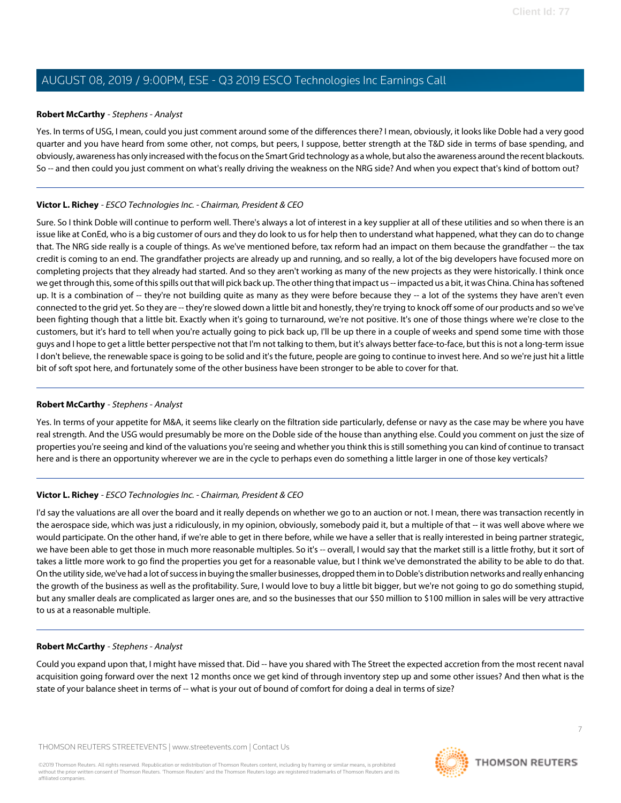### **Robert McCarthy** - Stephens - Analyst

Yes. In terms of USG, I mean, could you just comment around some of the differences there? I mean, obviously, it looks like Doble had a very good quarter and you have heard from some other, not comps, but peers, I suppose, better strength at the T&D side in terms of base spending, and obviously, awareness has only increased with the focus on the Smart Grid technology as a whole, but also the awareness around the recent blackouts. So -- and then could you just comment on what's really driving the weakness on the NRG side? And when you expect that's kind of bottom out?

### **Victor L. Richey** - ESCO Technologies Inc. - Chairman, President & CEO

Sure. So I think Doble will continue to perform well. There's always a lot of interest in a key supplier at all of these utilities and so when there is an issue like at ConEd, who is a big customer of ours and they do look to us for help then to understand what happened, what they can do to change that. The NRG side really is a couple of things. As we've mentioned before, tax reform had an impact on them because the grandfather -- the tax credit is coming to an end. The grandfather projects are already up and running, and so really, a lot of the big developers have focused more on completing projects that they already had started. And so they aren't working as many of the new projects as they were historically. I think once we get through this, some of this spills out that will pick back up. The other thing that impact us -- impacted us a bit, it was China. China has softened up. It is a combination of -- they're not building quite as many as they were before because they -- a lot of the systems they have aren't even connected to the grid yet. So they are -- they're slowed down a little bit and honestly, they're trying to knock off some of our products and so we've been fighting though that a little bit. Exactly when it's going to turnaround, we're not positive. It's one of those things where we're close to the customers, but it's hard to tell when you're actually going to pick back up, I'll be up there in a couple of weeks and spend some time with those guys and I hope to get a little better perspective not that I'm not talking to them, but it's always better face-to-face, but this is not a long-term issue I don't believe, the renewable space is going to be solid and it's the future, people are going to continue to invest here. And so we're just hit a little bit of soft spot here, and fortunately some of the other business have been stronger to be able to cover for that.

### **Robert McCarthy** - Stephens - Analyst

Yes. In terms of your appetite for M&A, it seems like clearly on the filtration side particularly, defense or navy as the case may be where you have real strength. And the USG would presumably be more on the Doble side of the house than anything else. Could you comment on just the size of properties you're seeing and kind of the valuations you're seeing and whether you think this is still something you can kind of continue to transact here and is there an opportunity wherever we are in the cycle to perhaps even do something a little larger in one of those key verticals?

### **Victor L. Richey** - ESCO Technologies Inc. - Chairman, President & CEO

I'd say the valuations are all over the board and it really depends on whether we go to an auction or not. I mean, there was transaction recently in the aerospace side, which was just a ridiculously, in my opinion, obviously, somebody paid it, but a multiple of that -- it was well above where we would participate. On the other hand, if we're able to get in there before, while we have a seller that is really interested in being partner strategic, we have been able to get those in much more reasonable multiples. So it's -- overall, I would say that the market still is a little frothy, but it sort of takes a little more work to go find the properties you get for a reasonable value, but I think we've demonstrated the ability to be able to do that. On the utility side, we've had a lot of success in buying the smaller businesses, dropped them in to Doble's distribution networks and really enhancing the growth of the business as well as the profitability. Sure, I would love to buy a little bit bigger, but we're not going to go do something stupid, but any smaller deals are complicated as larger ones are, and so the businesses that our \$50 million to \$100 million in sales will be very attractive to us at a reasonable multiple.

### **Robert McCarthy** - Stephens - Analyst

Could you expand upon that, I might have missed that. Did -- have you shared with The Street the expected accretion from the most recent naval acquisition going forward over the next 12 months once we get kind of through inventory step up and some other issues? And then what is the state of your balance sheet in terms of -- what is your out of bound of comfort for doing a deal in terms of size?

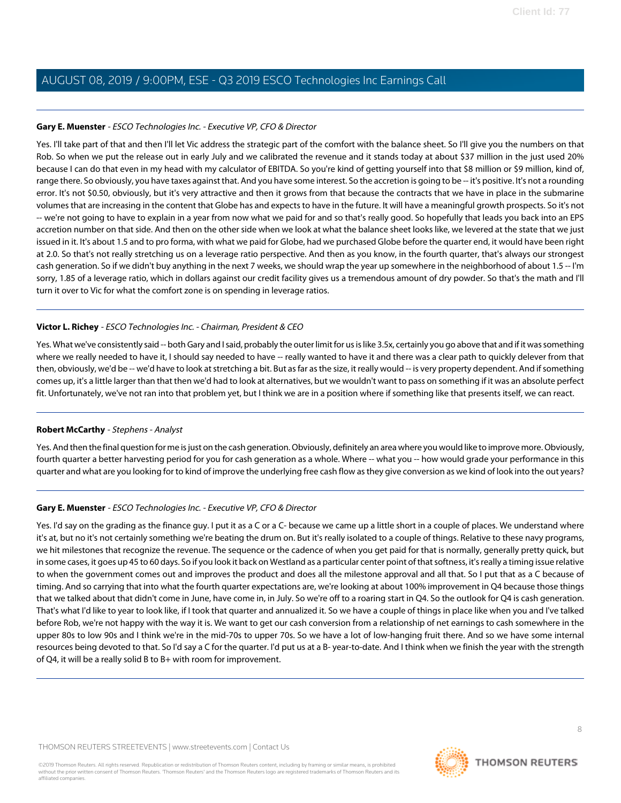### **Gary E. Muenster** - ESCO Technologies Inc. - Executive VP, CFO & Director

Yes. I'll take part of that and then I'll let Vic address the strategic part of the comfort with the balance sheet. So I'll give you the numbers on that Rob. So when we put the release out in early July and we calibrated the revenue and it stands today at about \$37 million in the just used 20% because I can do that even in my head with my calculator of EBITDA. So you're kind of getting yourself into that \$8 million or \$9 million, kind of, range there. So obviously, you have taxes against that. And you have some interest. So the accretion is going to be -- it's positive. It's not a rounding error. It's not \$0.50, obviously, but it's very attractive and then it grows from that because the contracts that we have in place in the submarine volumes that are increasing in the content that Globe has and expects to have in the future. It will have a meaningful growth prospects. So it's not -- we're not going to have to explain in a year from now what we paid for and so that's really good. So hopefully that leads you back into an EPS accretion number on that side. And then on the other side when we look at what the balance sheet looks like, we levered at the state that we just issued in it. It's about 1.5 and to pro forma, with what we paid for Globe, had we purchased Globe before the quarter end, it would have been right at 2.0. So that's not really stretching us on a leverage ratio perspective. And then as you know, in the fourth quarter, that's always our strongest cash generation. So if we didn't buy anything in the next 7 weeks, we should wrap the year up somewhere in the neighborhood of about 1.5 -- I'm sorry, 1.85 of a leverage ratio, which in dollars against our credit facility gives us a tremendous amount of dry powder. So that's the math and I'll turn it over to Vic for what the comfort zone is on spending in leverage ratios.

### **Victor L. Richey** - ESCO Technologies Inc. - Chairman, President & CEO

Yes. What we've consistently said -- both Gary and I said, probably the outer limit for us is like 3.5x, certainly you go above that and if it was something where we really needed to have it, I should say needed to have -- really wanted to have it and there was a clear path to quickly delever from that then, obviously, we'd be -- we'd have to look at stretching a bit. But as far as the size, it really would -- is very property dependent. And if something comes up, it's a little larger than that then we'd had to look at alternatives, but we wouldn't want to pass on something if it was an absolute perfect fit. Unfortunately, we've not ran into that problem yet, but I think we are in a position where if something like that presents itself, we can react.

### **Robert McCarthy** - Stephens - Analyst

Yes. And then the final question for me is just on the cash generation. Obviously, definitely an area where you would like to improve more. Obviously, fourth quarter a better harvesting period for you for cash generation as a whole. Where -- what you -- how would grade your performance in this quarter and what are you looking for to kind of improve the underlying free cash flow as they give conversion as we kind of look into the out years?

### **Gary E. Muenster** - ESCO Technologies Inc. - Executive VP, CFO & Director

Yes. I'd say on the grading as the finance guy. I put it as a C or a C- because we came up a little short in a couple of places. We understand where it's at, but no it's not certainly something we're beating the drum on. But it's really isolated to a couple of things. Relative to these navy programs, we hit milestones that recognize the revenue. The sequence or the cadence of when you get paid for that is normally, generally pretty quick, but in some cases, it goes up 45 to 60 days. So if you look it back on Westland as a particular center point of that softness, it's really a timing issue relative to when the government comes out and improves the product and does all the milestone approval and all that. So I put that as a C because of timing. And so carrying that into what the fourth quarter expectations are, we're looking at about 100% improvement in Q4 because those things that we talked about that didn't come in June, have come in, in July. So we're off to a roaring start in Q4. So the outlook for Q4 is cash generation. That's what I'd like to year to look like, if I took that quarter and annualized it. So we have a couple of things in place like when you and I've talked before Rob, we're not happy with the way it is. We want to get our cash conversion from a relationship of net earnings to cash somewhere in the upper 80s to low 90s and I think we're in the mid-70s to upper 70s. So we have a lot of low-hanging fruit there. And so we have some internal resources being devoted to that. So I'd say a C for the quarter. I'd put us at a B- year-to-date. And I think when we finish the year with the strength of Q4, it will be a really solid B to B+ with room for improvement.